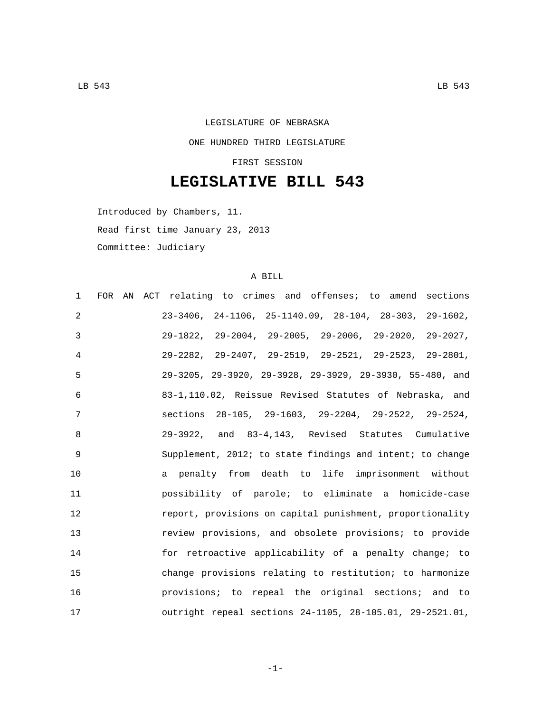## LEGISLATURE OF NEBRASKA ONE HUNDRED THIRD LEGISLATURE

FIRST SESSION

## **LEGISLATIVE BILL 543**

Introduced by Chambers, 11.

Read first time January 23, 2013

Committee: Judiciary

## A BILL

| $\mathbf{1}$ | FOR AN ACT relating to crimes and offenses; to amend sections            |
|--------------|--------------------------------------------------------------------------|
| 2            | $23-3406$ , $24-1106$ , $25-1140.09$ , $28-104$ , $28-303$ , $29-1602$ , |
| 3            | $29-1822$ , $29-2004$ , $29-2005$ , $29-2006$ , $29-2020$ , $29-2027$ ,  |
| 4            | $29-2282$ , $29-2407$ , $29-2519$ , $29-2521$ , $29-2523$ , $29-2801$ ,  |
| 5            | 29-3205, 29-3920, 29-3928, 29-3929, 29-3930, 55-480, and                 |
| 6            | 83-1,110.02, Reissue Revised Statutes of Nebraska, and                   |
| 7            | sections 28-105, 29-1603, 29-2204, 29-2522, 29-2524,                     |
| 8            | 29-3922, and 83-4,143, Revised Statutes Cumulative                       |
| 9            | Supplement, 2012; to state findings and intent; to change                |
| 10           | a penalty from death to life imprisonment without                        |
| 11           | possibility of parole; to eliminate a homicide-case                      |
| 12           | report, provisions on capital punishment, proportionality                |
| 13           | review provisions, and obsolete provisions; to provide                   |
| 14           | for retroactive applicability of a penalty change; to                    |
| 15           | change provisions relating to restitution; to harmonize                  |
| 16           | provisions; to repeal the original sections; and to                      |
| 17           | outright repeal sections 24-1105, 28-105.01, 29-2521.01,                 |

-1-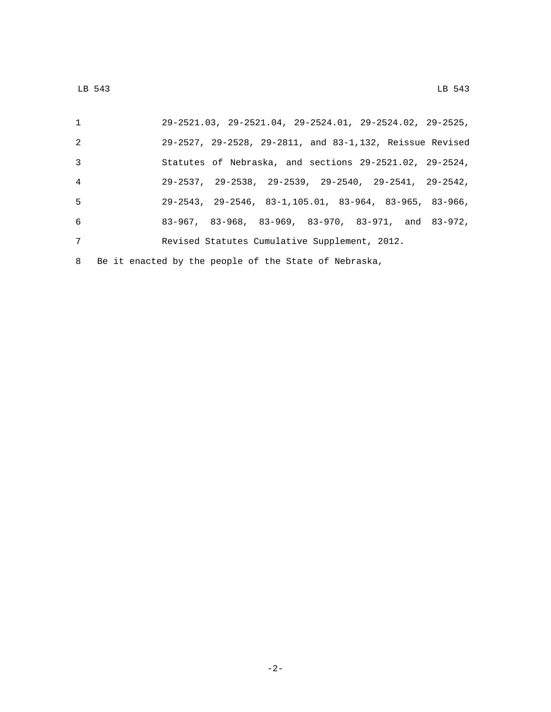| $\mathbf{1}$    | $29-2521.03$ , $29-2521.04$ , $29-2524.01$ , $29-2524.02$ , $29-2525$ ,      |
|-----------------|------------------------------------------------------------------------------|
| 2               | 29-2527, 29-2528, 29-2811, and 83-1,132, Reissue Revised                     |
| $\overline{3}$  | Statutes of Nebraska, and sections $29-2521.02$ , $29-2524$ ,                |
| $\overline{4}$  | $29-2537$ , $29-2538$ , $29-2539$ , $29-2540$ , $29-2541$ , $29-2542$ ,      |
| 5               | $29-2543$ , $29-2546$ , $83-1$ , $105.01$ , $83-964$ , $83-965$ , $83-966$ , |
| 6               | $83-967$ , $83-968$ , $83-969$ , $83-970$ , $83-971$ , and $83-972$ ,        |
| $7\phantom{.0}$ | Revised Statutes Cumulative Supplement, 2012.                                |
|                 | 8 Be it enacted by the people of the State of Nebraska,                      |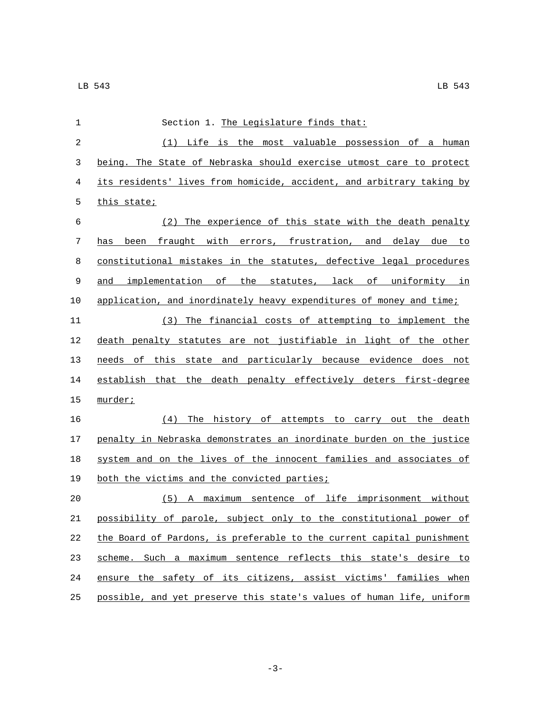| 1              | Section 1. The Legislature finds that:                                |
|----------------|-----------------------------------------------------------------------|
| $\overline{a}$ | (1) Life is the most valuable possession of a human                   |
| 3              | being. The State of Nebraska should exercise utmost care to protect   |
| 4              | its residents' lives from homicide, accident, and arbitrary taking by |
| 5              | this state;                                                           |
| 6              | (2) The experience of this state with the death penalty               |
| 7              | has been fraught with errors, frustration, and delay due to           |
| 8              | constitutional mistakes in the statutes, defective legal procedures   |
| 9              | and implementation of the statutes, lack of uniformity in             |
| 10             | application, and inordinately heavy expenditures of money and time;   |
| 11             | The financial costs of attempting to implement the<br>(3)             |
| 12             | death penalty statutes are not justifiable in light of the other      |
| 13             | needs of this state and particularly because evidence does not        |
| 14             | establish that the death penalty effectively deters first-degree      |
| 15             | murder;                                                               |
| 16             | (4)<br>The history of attempts to carry out the death                 |
| 17             | penalty in Nebraska demonstrates an inordinate burden on the justice  |
| 18             | system and on the lives of the innocent families and associates of    |
| 19             | both the victims and the convicted parties;                           |
| 20             | (5) A maximum sentence of life imprisonment without                   |
| 21             | possibility of parole, subject only to the constitutional power of    |
| 22             | the Board of Pardons, is preferable to the current capital punishment |
| 23             | scheme. Such a maximum sentence reflects this state's desire to       |
| 24             | ensure the safety of its citizens, assist victims' families when      |
| 25             | possible, and yet preserve this state's values of human life, uniform |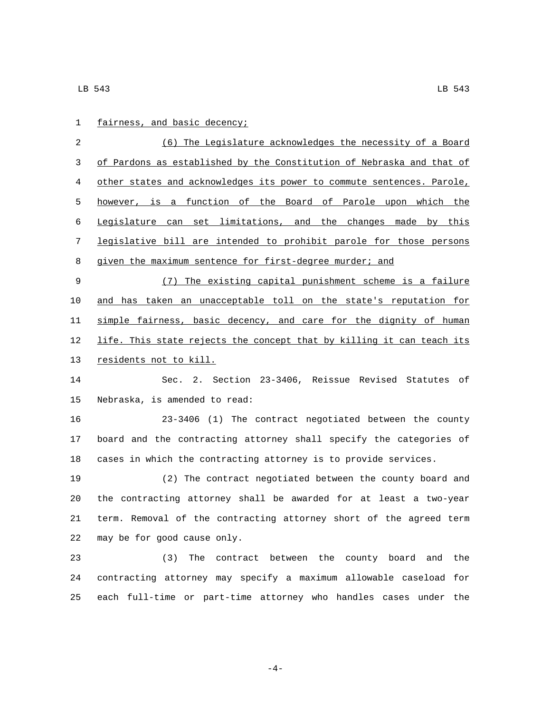| 1           | fairness, and basic decency;                                          |
|-------------|-----------------------------------------------------------------------|
| 2           | (6) The Legislature acknowledges the necessity of a Board             |
| 3           | of Pardons as established by the Constitution of Nebraska and that of |
| 4           | other states and acknowledges its power to commute sentences. Parole, |
| 5           | however, is a function of the Board of Parole upon which the          |
| 6           | Legislature can set limitations, and the changes made by this         |
| 7           | legislative bill are intended to prohibit parole for those persons    |
| 8           | given the maximum sentence for first-degree murder; and               |
| $\mathsf 9$ | (7) The existing capital punishment scheme is a failure               |
| 10          | and has taken an unacceptable toll on the state's reputation for      |
| 11          | simple fairness, basic decency, and care for the dignity of human     |
| 12          | life. This state rejects the concept that by killing it can teach its |
| 13          | residents not to kill.                                                |
| 14          | Sec. 2. Section 23-3406, Reissue Revised Statutes of                  |
| 15          | Nebraska, is amended to read:                                         |
| 16          | 23-3406 (1) The contract negotiated between the county                |
| 17          | board and the contracting attorney shall specify the categories of    |
| 18          | cases in which the contracting attorney is to provide services.       |
| 19          | (2) The contract negotiated between the county board and              |
| 20          | the contracting attorney shall be awarded for at least a two-year     |
| 21          | term. Removal of the contracting attorney short of the agreed term    |
| 22          | may be for good cause only.                                           |
| 23          | (3)<br>The contract between the county board and the                  |
| 24          | contracting attorney may specify a maximum allowable caseload for     |
| 25          | each full-time or part-time attorney who handles cases under the      |

-4-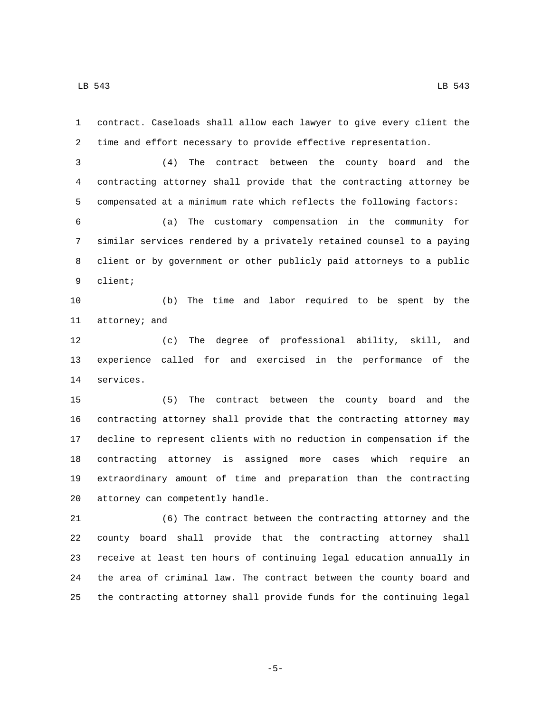contract. Caseloads shall allow each lawyer to give every client the time and effort necessary to provide effective representation. (4) The contract between the county board and the contracting attorney shall provide that the contracting attorney be compensated at a minimum rate which reflects the following factors: (a) The customary compensation in the community for similar services rendered by a privately retained counsel to a paying client or by government or other publicly paid attorneys to a public 9 client; (b) The time and labor required to be spent by the 11 attorney; and (c) The degree of professional ability, skill, and experience called for and exercised in the performance of the 14 services. (5) The contract between the county board and the contracting attorney shall provide that the contracting attorney may decline to represent clients with no reduction in compensation if the contracting attorney is assigned more cases which require an

20 attorney can competently handle.

 (6) The contract between the contracting attorney and the county board shall provide that the contracting attorney shall receive at least ten hours of continuing legal education annually in the area of criminal law. The contract between the county board and the contracting attorney shall provide funds for the continuing legal

extraordinary amount of time and preparation than the contracting

-5-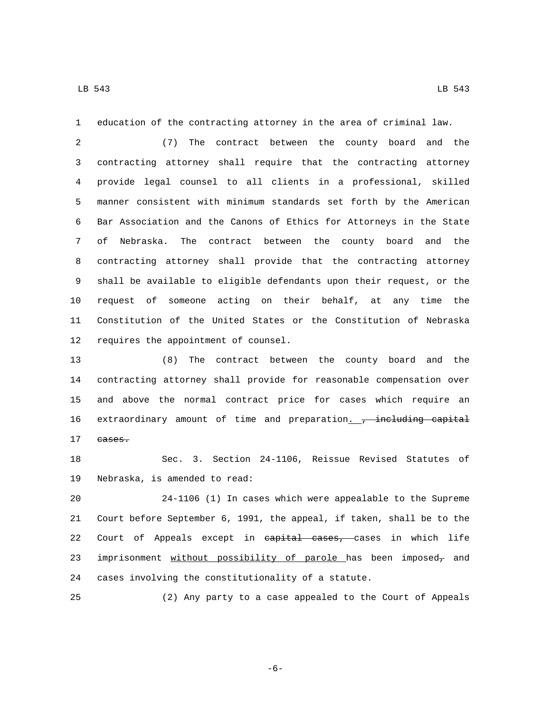education of the contracting attorney in the area of criminal law.

 (7) The contract between the county board and the contracting attorney shall require that the contracting attorney provide legal counsel to all clients in a professional, skilled manner consistent with minimum standards set forth by the American Bar Association and the Canons of Ethics for Attorneys in the State of Nebraska. The contract between the county board and the contracting attorney shall provide that the contracting attorney shall be available to eligible defendants upon their request, or the request of someone acting on their behalf, at any time the Constitution of the United States or the Constitution of Nebraska 12 requires the appointment of counsel.

 (8) The contract between the county board and the contracting attorney shall provide for reasonable compensation over and above the normal contract price for cases which require an 16 extraordinary amount of time and preparation. <del>, including capital</del> 17 eases.

 Sec. 3. Section 24-1106, Reissue Revised Statutes of 19 Nebraska, is amended to read:

 24-1106 (1) In cases which were appealable to the Supreme Court before September 6, 1991, the appeal, if taken, shall be to the 22 Court of Appeals except in capital cases, cases in which life 23 imprisonment without possibility of parole has been imposed- and cases involving the constitutionality of a statute.

(2) Any party to a case appealed to the Court of Appeals

-6-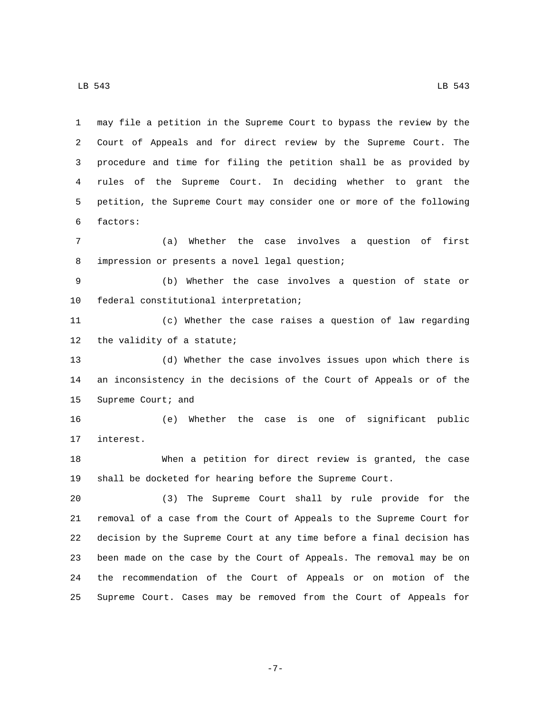may file a petition in the Supreme Court to bypass the review by the Court of Appeals and for direct review by the Supreme Court. The procedure and time for filing the petition shall be as provided by rules of the Supreme Court. In deciding whether to grant the petition, the Supreme Court may consider one or more of the following factors:6

 (a) Whether the case involves a question of first 8 impression or presents a novel legal question;

 (b) Whether the case involves a question of state or 10 federal constitutional interpretation;

 (c) Whether the case raises a question of law regarding 12 the validity of a statute;

 (d) Whether the case involves issues upon which there is an inconsistency in the decisions of the Court of Appeals or of the 15 Supreme Court; and

 (e) Whether the case is one of significant public 17 interest.

 When a petition for direct review is granted, the case shall be docketed for hearing before the Supreme Court.

 (3) The Supreme Court shall by rule provide for the removal of a case from the Court of Appeals to the Supreme Court for decision by the Supreme Court at any time before a final decision has been made on the case by the Court of Appeals. The removal may be on the recommendation of the Court of Appeals or on motion of the Supreme Court. Cases may be removed from the Court of Appeals for

-7-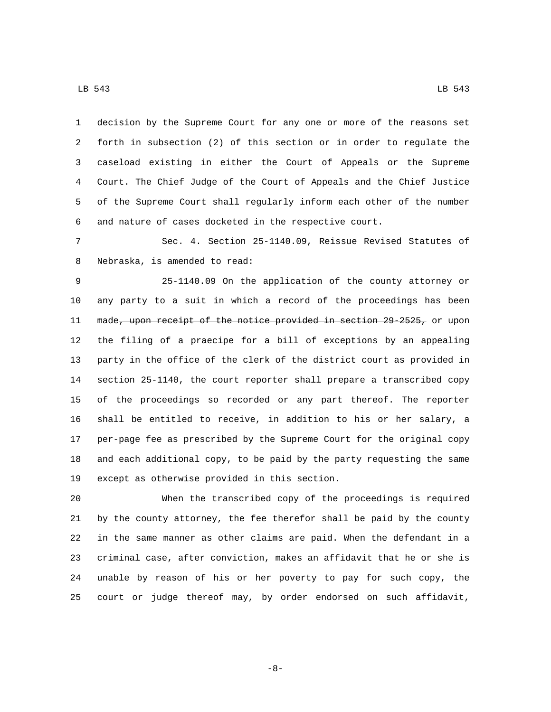decision by the Supreme Court for any one or more of the reasons set forth in subsection (2) of this section or in order to regulate the caseload existing in either the Court of Appeals or the Supreme Court. The Chief Judge of the Court of Appeals and the Chief Justice of the Supreme Court shall regularly inform each other of the number and nature of cases docketed in the respective court.

 Sec. 4. Section 25-1140.09, Reissue Revised Statutes of 8 Nebraska, is amended to read:

 25-1140.09 On the application of the county attorney or any party to a suit in which a record of the proceedings has been 11 made, upon receipt of the notice provided in section 29 2525, or upon the filing of a praecipe for a bill of exceptions by an appealing party in the office of the clerk of the district court as provided in section 25-1140, the court reporter shall prepare a transcribed copy of the proceedings so recorded or any part thereof. The reporter shall be entitled to receive, in addition to his or her salary, a per-page fee as prescribed by the Supreme Court for the original copy and each additional copy, to be paid by the party requesting the same 19 except as otherwise provided in this section.

 When the transcribed copy of the proceedings is required by the county attorney, the fee therefor shall be paid by the county in the same manner as other claims are paid. When the defendant in a criminal case, after conviction, makes an affidavit that he or she is unable by reason of his or her poverty to pay for such copy, the court or judge thereof may, by order endorsed on such affidavit,

-8-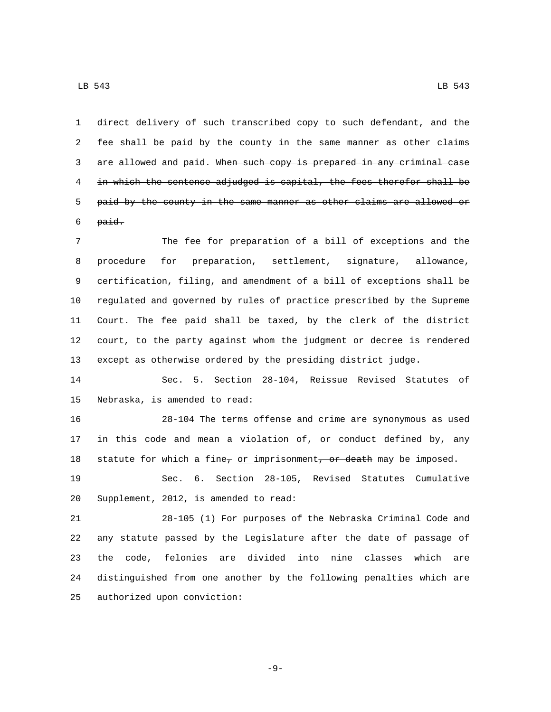direct delivery of such transcribed copy to such defendant, and the fee shall be paid by the county in the same manner as other claims 3 are allowed and paid. When such copy is prepared in any criminal case in which the sentence adjudged is capital, the fees therefor shall be 5 paid by the county in the same manner as other claims are allowed or paid.

 The fee for preparation of a bill of exceptions and the procedure for preparation, settlement, signature, allowance, certification, filing, and amendment of a bill of exceptions shall be regulated and governed by rules of practice prescribed by the Supreme Court. The fee paid shall be taxed, by the clerk of the district court, to the party against whom the judgment or decree is rendered except as otherwise ordered by the presiding district judge.

 Sec. 5. Section 28-104, Reissue Revised Statutes of 15 Nebraska, is amended to read:

 28-104 The terms offense and crime are synonymous as used in this code and mean a violation of, or conduct defined by, any 18 statute for which a fine<sub>7</sub> or imprisonment<del>, or death</del> may be imposed.

 Sec. 6. Section 28-105, Revised Statutes Cumulative Supplement, 2012, is amended to read:

 28-105 (1) For purposes of the Nebraska Criminal Code and any statute passed by the Legislature after the date of passage of the code, felonies are divided into nine classes which are distinguished from one another by the following penalties which are 25 authorized upon conviction:

-9-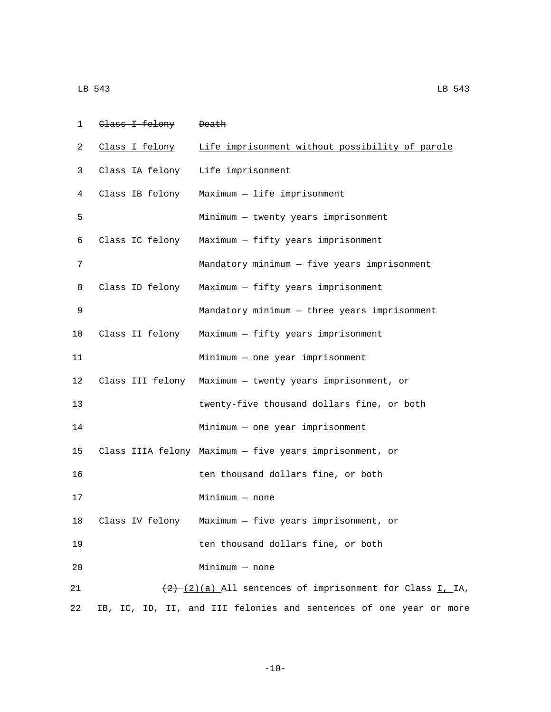| LB 543 | LB 543 |
|--------|--------|
|--------|--------|

| 1  | Class I felony   | <del>Death</del>                                                   |
|----|------------------|--------------------------------------------------------------------|
| 2  | Class I felony   | Life imprisonment without possibility of parole                    |
| 3  | Class IA felony  | Life imprisonment                                                  |
| 4  | Class IB felony  | Maximum - life imprisonment                                        |
| 5  |                  | Minimum - twenty years imprisonment                                |
| 6  | Class IC felony  | Maximum - fifty years imprisonment                                 |
| 7  |                  | Mandatory minimum - five years imprisonment                        |
| 8  | Class ID felony  | Maximum - fifty years imprisonment                                 |
| 9  |                  | Mandatory minimum - three years imprisonment                       |
| 10 | Class II felony  | Maximum - fifty years imprisonment                                 |
| 11 |                  | Minimum - one year imprisonment                                    |
| 12 | Class III felony | Maximum - twenty years imprisonment, or                            |
| 13 |                  | twenty-five thousand dollars fine, or both                         |
| 14 |                  | Minimum - one year imprisonment                                    |
| 15 |                  | Class IIIA felony Maximum - five years imprisonment, or            |
| 16 |                  | ten thousand dollars fine, or both                                 |
| 17 |                  | $Minimum - none$                                                   |
| 18 | Class IV felony  | Maximum - five years imprisonment, or                              |
| 19 |                  | ten thousand dollars fine, or both                                 |
| 20 |                  | $Minimum - none$                                                   |
| 21 |                  | $(2)$ $(2)$ $(3)$ All sentences of imprisonment for Class I, IA,   |
| 22 |                  | IB, IC, ID, II, and III felonies and sentences of one year or more |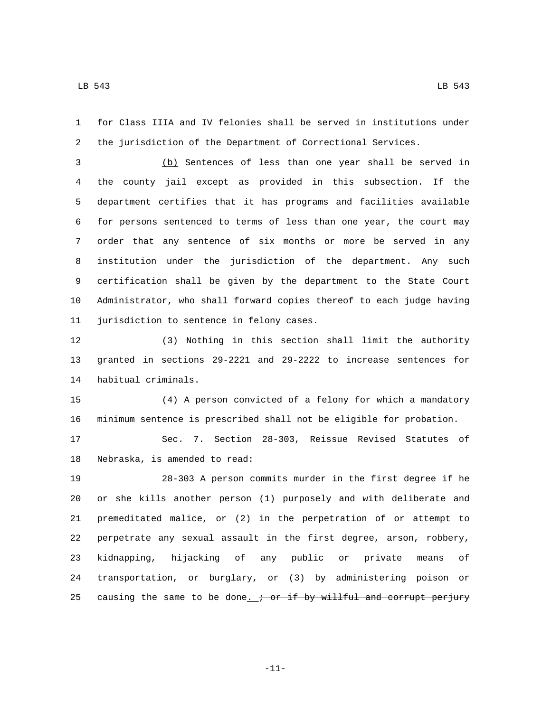for Class IIIA and IV felonies shall be served in institutions under the jurisdiction of the Department of Correctional Services.

 (b) Sentences of less than one year shall be served in the county jail except as provided in this subsection. If the department certifies that it has programs and facilities available for persons sentenced to terms of less than one year, the court may order that any sentence of six months or more be served in any institution under the jurisdiction of the department. Any such certification shall be given by the department to the State Court Administrator, who shall forward copies thereof to each judge having 11 jurisdiction to sentence in felony cases.

 (3) Nothing in this section shall limit the authority granted in sections 29-2221 and 29-2222 to increase sentences for 14 habitual criminals.

 (4) A person convicted of a felony for which a mandatory minimum sentence is prescribed shall not be eligible for probation.

 Sec. 7. Section 28-303, Reissue Revised Statutes of 18 Nebraska, is amended to read:

 28-303 A person commits murder in the first degree if he or she kills another person (1) purposely and with deliberate and premeditated malice, or (2) in the perpetration of or attempt to perpetrate any sexual assault in the first degree, arson, robbery, kidnapping, hijacking of any public or private means of transportation, or burglary, or (3) by administering poison or 25 causing the same to be done.  $\div$  or if by willful and corrupt perjury

-11-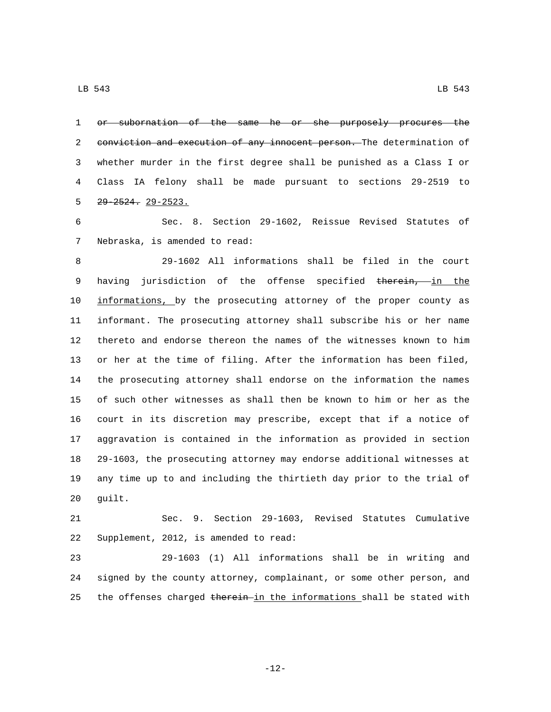1 or subornation of the same he or she purposely procures the 2 conviction and execution of any innocent person. The determination of whether murder in the first degree shall be punished as a Class I or Class IA felony shall be made pursuant to sections 29-2519 to  $29 - 2524$ .  $29 - 2523$ .

 Sec. 8. Section 29-1602, Reissue Revised Statutes of 7 Nebraska, is amended to read:

 29-1602 All informations shall be filed in the court 9 having jurisdiction of the offense specified therein, in the informations, by the prosecuting attorney of the proper county as informant. The prosecuting attorney shall subscribe his or her name thereto and endorse thereon the names of the witnesses known to him or her at the time of filing. After the information has been filed, the prosecuting attorney shall endorse on the information the names of such other witnesses as shall then be known to him or her as the court in its discretion may prescribe, except that if a notice of aggravation is contained in the information as provided in section 29-1603, the prosecuting attorney may endorse additional witnesses at any time up to and including the thirtieth day prior to the trial of 20 guilt.

 Sec. 9. Section 29-1603, Revised Statutes Cumulative 22 Supplement, 2012, is amended to read:

 29-1603 (1) All informations shall be in writing and signed by the county attorney, complainant, or some other person, and 25 the offenses charged therein in the informations shall be stated with

-12-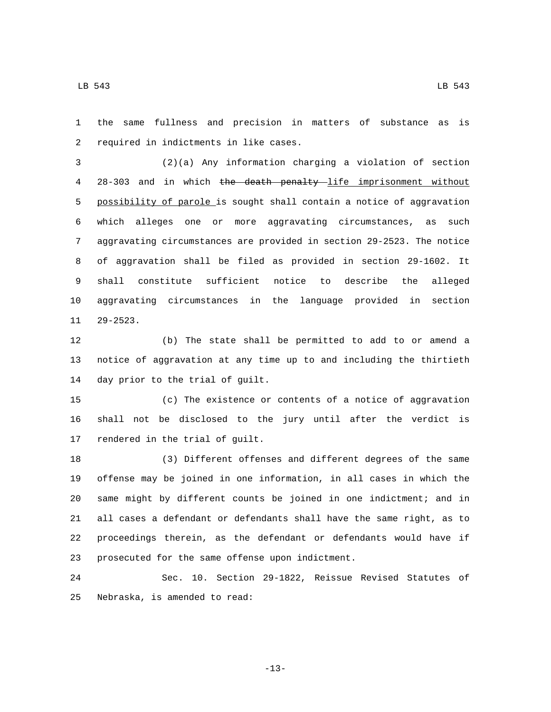the same fullness and precision in matters of substance as is 2 required in indictments in like cases.

 (2)(a) Any information charging a violation of section 28-303 and in which the death penalty life imprisonment without possibility of parole is sought shall contain a notice of aggravation which alleges one or more aggravating circumstances, as such aggravating circumstances are provided in section 29-2523. The notice of aggravation shall be filed as provided in section 29-1602. It shall constitute sufficient notice to describe the alleged aggravating circumstances in the language provided in section 11 29-2523.

 (b) The state shall be permitted to add to or amend a notice of aggravation at any time up to and including the thirtieth 14 day prior to the trial of guilt.

 (c) The existence or contents of a notice of aggravation shall not be disclosed to the jury until after the verdict is 17 rendered in the trial of guilt.

 (3) Different offenses and different degrees of the same offense may be joined in one information, in all cases in which the same might by different counts be joined in one indictment; and in all cases a defendant or defendants shall have the same right, as to proceedings therein, as the defendant or defendants would have if 23 prosecuted for the same offense upon indictment.

 Sec. 10. Section 29-1822, Reissue Revised Statutes of 25 Nebraska, is amended to read:

-13-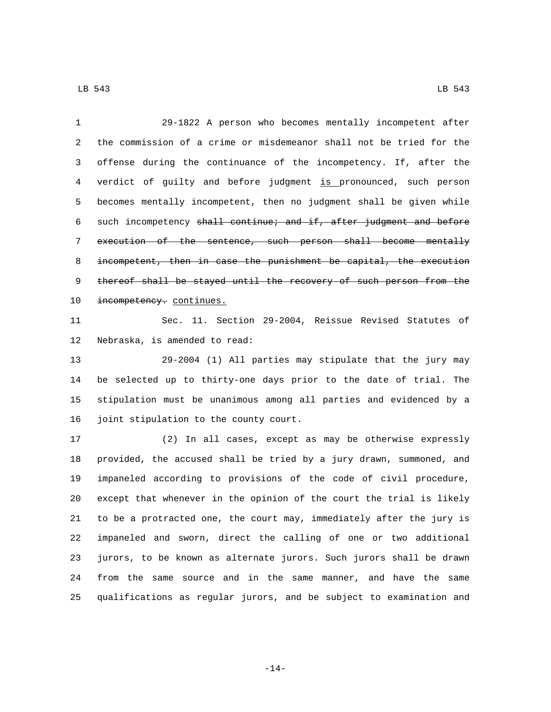29-1822 A person who becomes mentally incompetent after the commission of a crime or misdemeanor shall not be tried for the offense during the continuance of the incompetency. If, after the verdict of guilty and before judgment is pronounced, such person becomes mentally incompetent, then no judgment shall be given while such incompetency shall continue; and if, after judgment and before execution of the sentence, such person shall become mentally incompetent, then in case the punishment be capital, the execution 9 thereof shall be stayed until the recovery of such person from the 10 incompetency. continues.

 Sec. 11. Section 29-2004, Reissue Revised Statutes of 12 Nebraska, is amended to read:

 29-2004 (1) All parties may stipulate that the jury may be selected up to thirty-one days prior to the date of trial. The stipulation must be unanimous among all parties and evidenced by a 16 joint stipulation to the county court.

 (2) In all cases, except as may be otherwise expressly provided, the accused shall be tried by a jury drawn, summoned, and impaneled according to provisions of the code of civil procedure, except that whenever in the opinion of the court the trial is likely to be a protracted one, the court may, immediately after the jury is impaneled and sworn, direct the calling of one or two additional jurors, to be known as alternate jurors. Such jurors shall be drawn from the same source and in the same manner, and have the same qualifications as regular jurors, and be subject to examination and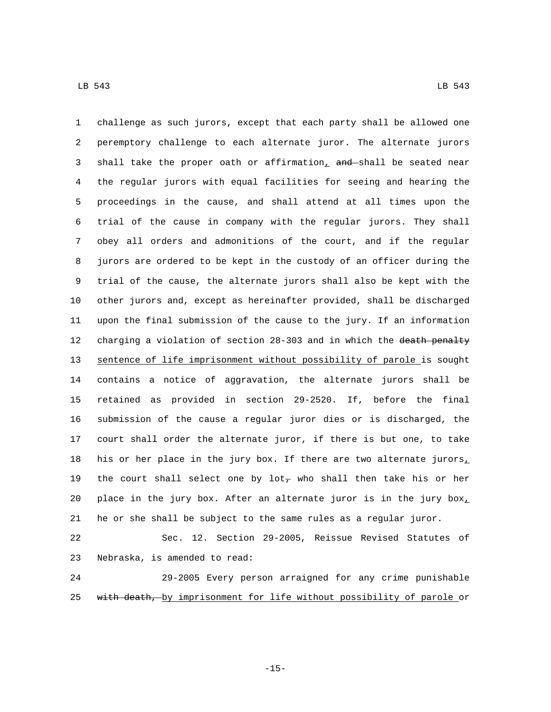challenge as such jurors, except that each party shall be allowed one peremptory challenge to each alternate juror. The alternate jurors 3 shall take the proper oath or affirmation, and shall be seated near the regular jurors with equal facilities for seeing and hearing the proceedings in the cause, and shall attend at all times upon the trial of the cause in company with the regular jurors. They shall obey all orders and admonitions of the court, and if the regular jurors are ordered to be kept in the custody of an officer during the trial of the cause, the alternate jurors shall also be kept with the other jurors and, except as hereinafter provided, shall be discharged upon the final submission of the cause to the jury. If an information 12 charging a violation of section 28-303 and in which the death penalty sentence of life imprisonment without possibility of parole is sought contains a notice of aggravation, the alternate jurors shall be retained as provided in section 29-2520. If, before the final submission of the cause a regular juror dies or is discharged, the court shall order the alternate juror, if there is but one, to take 18 his or her place in the jury box. If there are two alternate jurors, 19 the court shall select one by lot<sub>7</sub> who shall then take his or her 20 place in the jury box. After an alternate juror is in the jury  $box<sub>L</sub>$ he or she shall be subject to the same rules as a regular juror.

 Sec. 12. Section 29-2005, Reissue Revised Statutes of 23 Nebraska, is amended to read:

 29-2005 Every person arraigned for any crime punishable 25 with death, by imprisonment for life without possibility of parole or

-15-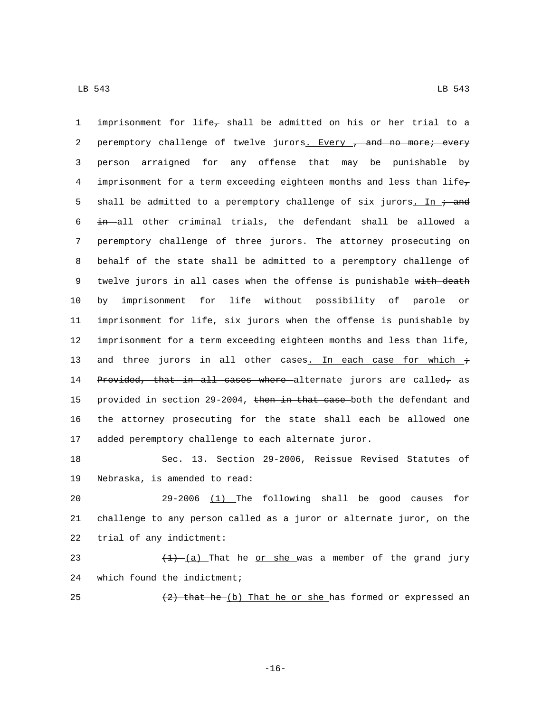1 imprisonment for life<sub>7</sub> shall be admitted on his or her trial to a 2 peremptory challenge of twelve jurors. Every , and no more; every 3 person arraigned for any offense that may be punishable by 4 imprisonment for a term exceeding eighteen months and less than life $_7$ 5 shall be admitted to a peremptory challenge of six jurors. In  $\div$  and 6 in all other criminal trials, the defendant shall be allowed a 7 peremptory challenge of three jurors. The attorney prosecuting on 8 behalf of the state shall be admitted to a peremptory challenge of 9 twelve jurors in all cases when the offense is punishable with death 10 by imprisonment for life without possibility of parole or 11 imprisonment for life, six jurors when the offense is punishable by 12 imprisonment for a term exceeding eighteen months and less than life, 13 and three jurors in all other cases. In each case for which  $\dot{\tau}$ 14 Provided, that in all cases where alternate jurors are called, as 15 provided in section 29-2004, then in that case both the defendant and 16 the attorney prosecuting for the state shall each be allowed one 17 added peremptory challenge to each alternate juror.

18 Sec. 13. Section 29-2006, Reissue Revised Statutes of 19 Nebraska, is amended to read:

20 29-2006 (1) The following shall be good causes for 21 challenge to any person called as a juror or alternate juror, on the 22 trial of any indictment:

23  $(1) - (a)$  That he or she was a member of the grand jury 24 which found the indictment;

25  $(2)$  that he (b) That he or she has formed or expressed an

-16-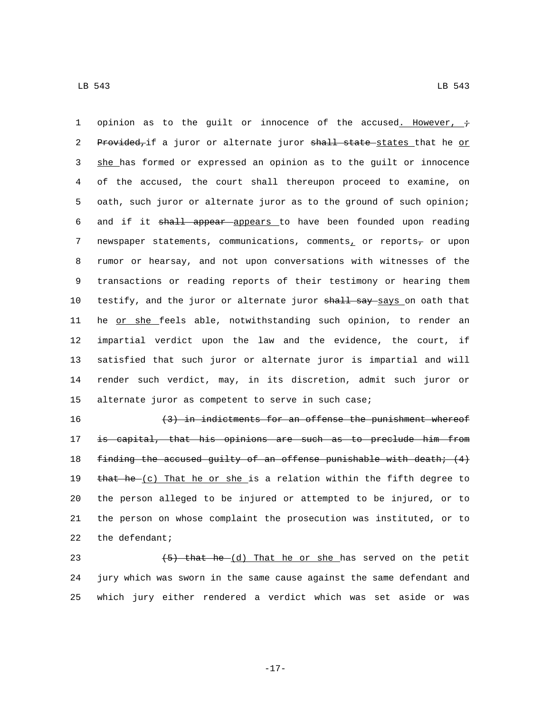1 opinion as to the guilt or innocence of the accused. However,  $\dot{\tau}$ 2 Provided, if a juror or alternate juror shall state states that he or 3 she has formed or expressed an opinion as to the guilt or innocence 4 of the accused, the court shall thereupon proceed to examine, on 5 oath, such juror or alternate juror as to the ground of such opinion; 6 and if it shall appear appears to have been founded upon reading 7 newspaper statements, communications, comments, or reports $_7$  or upon 8 rumor or hearsay, and not upon conversations with witnesses of the 9 transactions or reading reports of their testimony or hearing them 10 testify, and the juror or alternate juror shall say says on oath that 11 he or she feels able, notwithstanding such opinion, to render an 12 impartial verdict upon the law and the evidence, the court, if 13 satisfied that such juror or alternate juror is impartial and will 14 render such verdict, may, in its discretion, admit such juror or 15 alternate juror as competent to serve in such case;

16 (3) in indictments for an offense the punishment whereof 17 is capital, that his opinions are such as to preclude him from 18 finding the accused guilty of an offense punishable with death;  $(4)$ 19 that he  $(c)$  That he or she is a relation within the fifth degree to 20 the person alleged to be injured or attempted to be injured, or to 21 the person on whose complaint the prosecution was instituted, or to 22 the defendant;

23  $(5)$  that he  $(d)$  That he or she has served on the petit 24 jury which was sworn in the same cause against the same defendant and 25 which jury either rendered a verdict which was set aside or was

-17-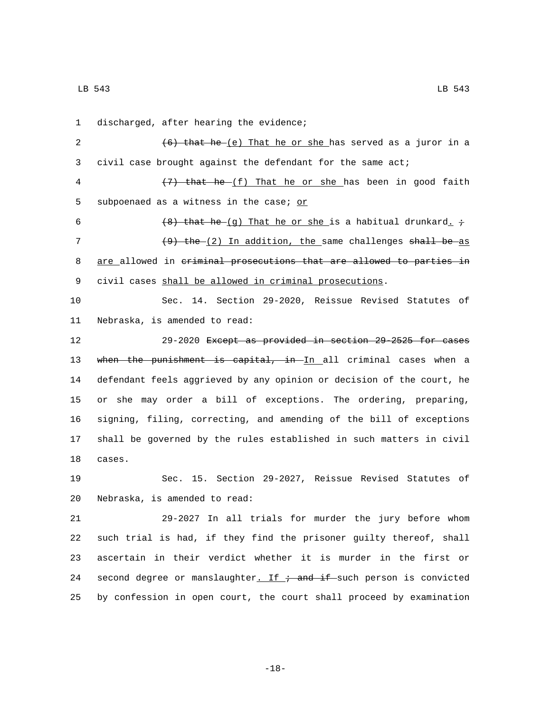1 discharged, after hearing the evidence;

2  $(6)$  that he  $(e)$  That he or she has served as a juror in a 3 civil case brought against the defendant for the same act;

4 (7) that he  $(f)$  That he or she has been in good faith 5 subpoenaed as a witness in the case;  $or$ 

6 (8) that he (g) That he or she is a habitual drunkard.  $\dot{r}$ 7  $(9)$  the  $(2)$  In addition, the same challenges shall be as 8 are allowed in criminal prosecutions that are allowed to parties in 9 civil cases shall be allowed in criminal prosecutions.

10 Sec. 14. Section 29-2020, Reissue Revised Statutes of 11 Nebraska, is amended to read:

 29-2020 Except as provided in section 29-2525 for cases 13 when the punishment is capital, in In all criminal cases when a defendant feels aggrieved by any opinion or decision of the court, he or she may order a bill of exceptions. The ordering, preparing, signing, filing, correcting, and amending of the bill of exceptions shall be governed by the rules established in such matters in civil 18 cases.

19 Sec. 15. Section 29-2027, Reissue Revised Statutes of 20 Nebraska, is amended to read:

 29-2027 In all trials for murder the jury before whom such trial is had, if they find the prisoner guilty thereof, shall ascertain in their verdict whether it is murder in the first or 24 second degree or manslaughter. If  $\div$  and if such person is convicted by confession in open court, the court shall proceed by examination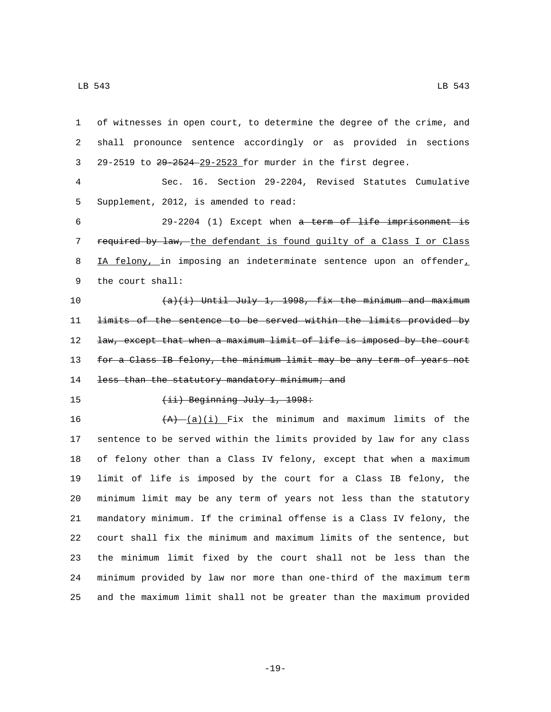| $\mathbf{1}$   | of witnesses in open court, to determine the degree of the crime, and |
|----------------|-----------------------------------------------------------------------|
| 2              | shall pronounce sentence accordingly or as provided in sections       |
| 3              | 29-2519 to 29-2524-29-2523 for murder in the first degree.            |
| $\overline{4}$ | Sec. 16. Section 29-2204, Revised Statutes Cumulative                 |
| 5              | Supplement, 2012, is amended to read:                                 |
| 6              | 29-2204 (1) Except when a term of life imprisonment is                |
| 7              | required by law, the defendant is found quilty of a Class I or Class  |
| 8              | IA felony, in imposing an indeterminate sentence upon an offender,    |
| 9              | the court shall:                                                      |
| 10             | $(a)(i)$ Until July 1, 1998, fix the minimum and maximum              |
| 11             | limits of the sentence to be served within the limits provided by     |
| 12             | law, except that when a maximum limit of life is imposed by the court |
| 13             | for a Class IB felony, the minimum limit may be any term of years not |
| 14             | less than the statutory mandatory minimum; and                        |
| 15             | $(iii)$ Beginning July 1, 1998:                                       |
| 16             | $(A)$ $(a)(i)$ Fix the minimum and maximum limits of the              |
| 17             | sentence to be served within the limits provided by law for any class |
| 18             | of felony other than a Class IV felony, except that when a maximum    |
| 19             | limit of life is imposed by the court for a Class IB felony, the      |
| 20             | minimum limit may be any term of years not less than the statutory    |
| 21             | mandatory minimum. If the criminal offense is a Class IV felony, the  |
| 22             | court shall fix the minimum and maximum limits of the sentence, but   |
| 23             | the minimum limit fixed by the court shall not be less than the       |
| 24             | minimum provided by law nor more than one-third of the maximum term   |
| 25             | and the maximum limit shall not be greater than the maximum provided  |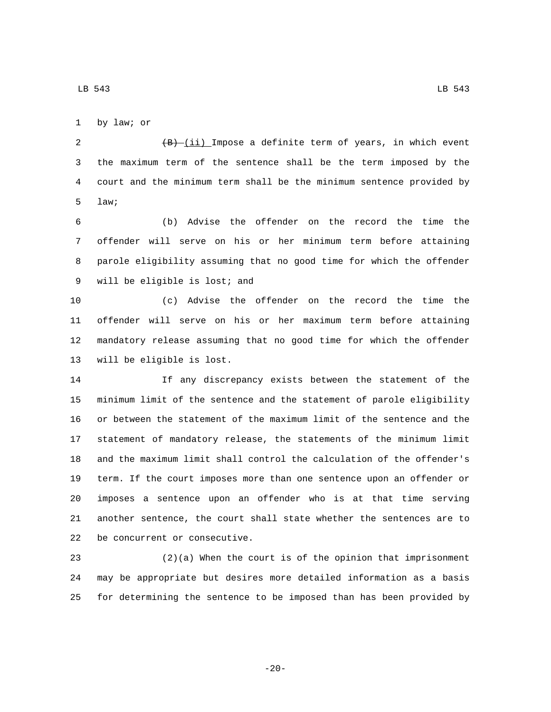1 by law; or

2 (B) (ii) Impose a definite term of years, in which event the maximum term of the sentence shall be the term imposed by the court and the minimum term shall be the minimum sentence provided by 5 law;

 (b) Advise the offender on the record the time the offender will serve on his or her minimum term before attaining parole eligibility assuming that no good time for which the offender 9 will be eligible is lost; and

 (c) Advise the offender on the record the time the offender will serve on his or her maximum term before attaining mandatory release assuming that no good time for which the offender 13 will be eligible is lost.

 If any discrepancy exists between the statement of the minimum limit of the sentence and the statement of parole eligibility or between the statement of the maximum limit of the sentence and the statement of mandatory release, the statements of the minimum limit and the maximum limit shall control the calculation of the offender's term. If the court imposes more than one sentence upon an offender or imposes a sentence upon an offender who is at that time serving another sentence, the court shall state whether the sentences are to 22 be concurrent or consecutive.

 (2)(a) When the court is of the opinion that imprisonment may be appropriate but desires more detailed information as a basis for determining the sentence to be imposed than has been provided by

-20-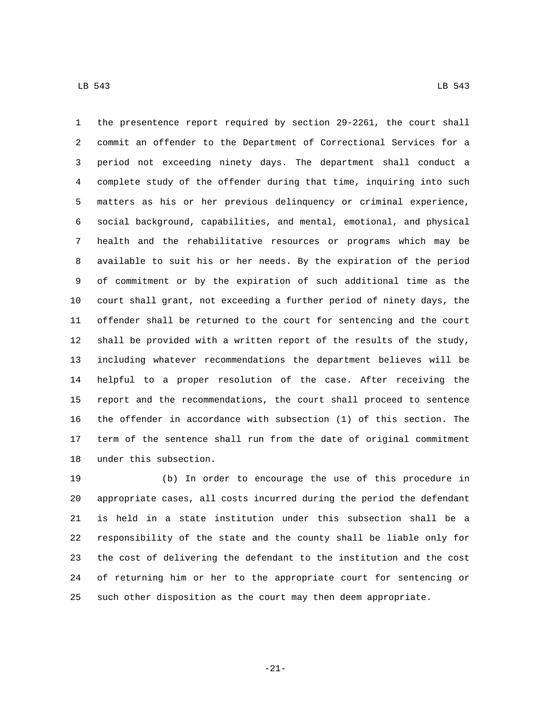the presentence report required by section 29-2261, the court shall commit an offender to the Department of Correctional Services for a period not exceeding ninety days. The department shall conduct a complete study of the offender during that time, inquiring into such matters as his or her previous delinquency or criminal experience, social background, capabilities, and mental, emotional, and physical health and the rehabilitative resources or programs which may be available to suit his or her needs. By the expiration of the period of commitment or by the expiration of such additional time as the court shall grant, not exceeding a further period of ninety days, the offender shall be returned to the court for sentencing and the court shall be provided with a written report of the results of the study, including whatever recommendations the department believes will be helpful to a proper resolution of the case. After receiving the report and the recommendations, the court shall proceed to sentence the offender in accordance with subsection (1) of this section. The term of the sentence shall run from the date of original commitment 18 under this subsection.

 (b) In order to encourage the use of this procedure in appropriate cases, all costs incurred during the period the defendant is held in a state institution under this subsection shall be a responsibility of the state and the county shall be liable only for the cost of delivering the defendant to the institution and the cost of returning him or her to the appropriate court for sentencing or such other disposition as the court may then deem appropriate.

-21-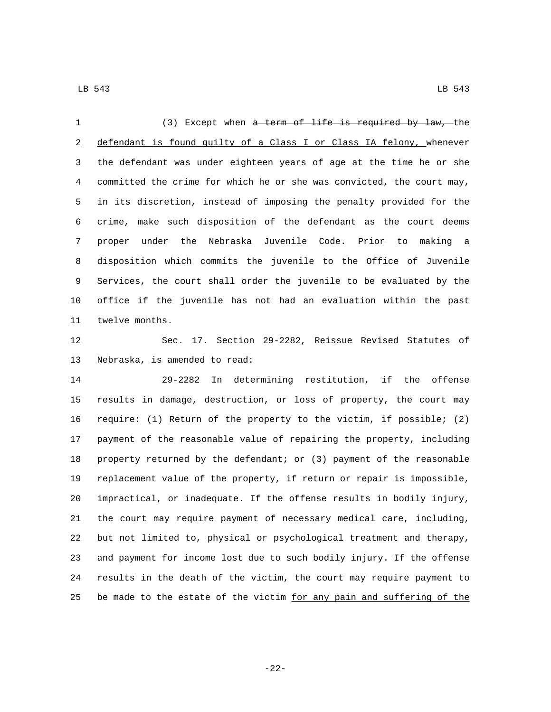(3) Except when a term of life is required by law, the 2 defendant is found guilty of a Class I or Class IA felony, whenever the defendant was under eighteen years of age at the time he or she committed the crime for which he or she was convicted, the court may, in its discretion, instead of imposing the penalty provided for the crime, make such disposition of the defendant as the court deems proper under the Nebraska Juvenile Code. Prior to making a disposition which commits the juvenile to the Office of Juvenile Services, the court shall order the juvenile to be evaluated by the office if the juvenile has not had an evaluation within the past 11 twelve months.

 Sec. 17. Section 29-2282, Reissue Revised Statutes of 13 Nebraska, is amended to read:

 29-2282 In determining restitution, if the offense results in damage, destruction, or loss of property, the court may require: (1) Return of the property to the victim, if possible; (2) payment of the reasonable value of repairing the property, including property returned by the defendant; or (3) payment of the reasonable replacement value of the property, if return or repair is impossible, impractical, or inadequate. If the offense results in bodily injury, the court may require payment of necessary medical care, including, but not limited to, physical or psychological treatment and therapy, and payment for income lost due to such bodily injury. If the offense results in the death of the victim, the court may require payment to 25 be made to the estate of the victim for any pain and suffering of the

LB 543 LB 543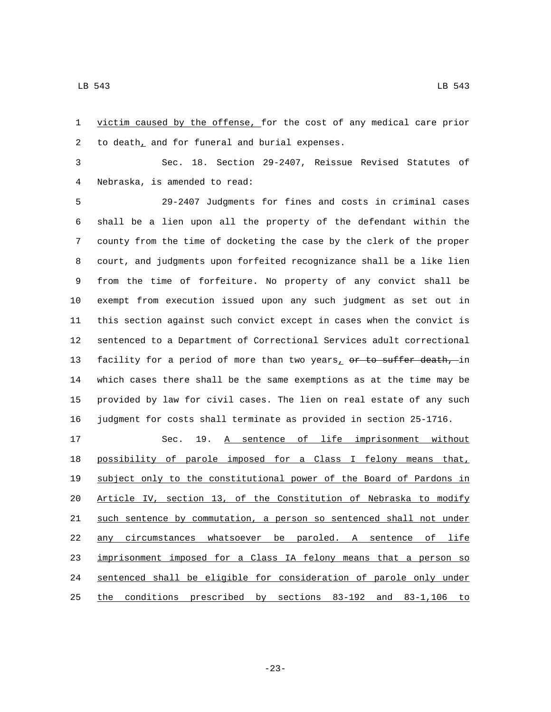victim caused by the offense, for the cost of any medical care prior 2 to death<sub> $L$ </sub> and for funeral and burial expenses.

 Sec. 18. Section 29-2407, Reissue Revised Statutes of Nebraska, is amended to read:4

 29-2407 Judgments for fines and costs in criminal cases shall be a lien upon all the property of the defendant within the county from the time of docketing the case by the clerk of the proper court, and judgments upon forfeited recognizance shall be a like lien from the time of forfeiture. No property of any convict shall be exempt from execution issued upon any such judgment as set out in this section against such convict except in cases when the convict is sentenced to a Department of Correctional Services adult correctional 13 facility for a period of more than two years, or to suffer death, in which cases there shall be the same exemptions as at the time may be provided by law for civil cases. The lien on real estate of any such judgment for costs shall terminate as provided in section 25-1716.

17 Sec. 19. A sentence of life imprisonment without possibility of parole imposed for a Class I felony means that, subject only to the constitutional power of the Board of Pardons in Article IV, section 13, of the Constitution of Nebraska to modify such sentence by commutation, a person so sentenced shall not under any circumstances whatsoever be paroled. A sentence of life 23 imprisonment imposed for a Class IA felony means that a person so sentenced shall be eligible for consideration of parole only under the conditions prescribed by sections 83-192 and 83-1,106 to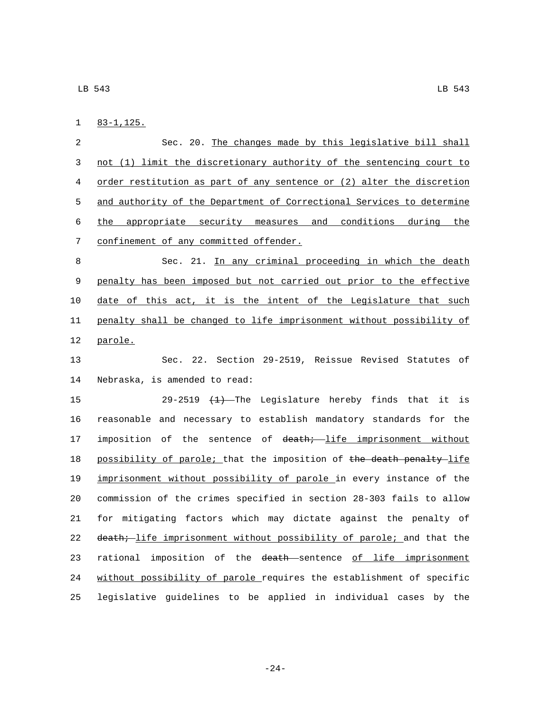83-1,125.1

 Sec. 20. The changes made by this legislative bill shall not (1) limit the discretionary authority of the sentencing court to order restitution as part of any sentence or (2) alter the discretion 5 and authority of the Department of Correctional Services to determine the appropriate security measures and conditions during the 7 confinement of any committed offender.

8 Sec. 21. In any criminal proceeding in which the death 9 penalty has been imposed but not carried out prior to the effective 10 date of this act, it is the intent of the Legislature that such 11 penalty shall be changed to life imprisonment without possibility of 12 parole.

13 Sec. 22. Section 29-2519, Reissue Revised Statutes of 14 Nebraska, is amended to read:

15 29-2519 <del>(1)</del> The Legislature hereby finds that it is 16 reasonable and necessary to establish mandatory standards for the 17 imposition of the sentence of death; life imprisonment without 18 possibility of parole; that the imposition of the death penalty-life 19 imprisonment without possibility of parole in every instance of the 20 commission of the crimes specified in section 28-303 fails to allow 21 for mitigating factors which may dictate against the penalty of 22 death; life imprisonment without possibility of parole; and that the 23 rational imposition of the death sentence of life imprisonment 24 without possibility of parole requires the establishment of specific 25 legislative guidelines to be applied in individual cases by the

-24-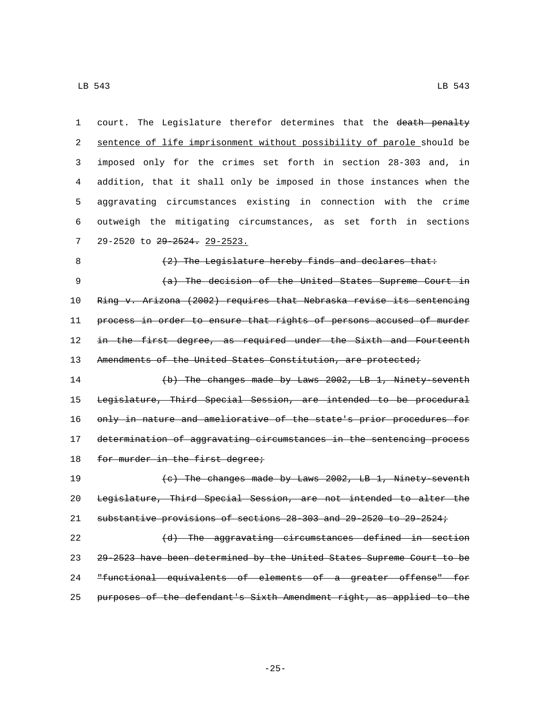| 1  | court. The Legislature therefor determines that the death penalty     |
|----|-----------------------------------------------------------------------|
| 2  | sentence of life imprisonment without possibility of parole should be |
| 3  | imposed only for the crimes set forth in section 28-303 and, in       |
| 4  | addition, that it shall only be imposed in those instances when the   |
| 5  | aggravating circumstances existing in connection with the crime       |
| 6  | outweigh the mitigating circumstances, as set forth in sections       |
| 7  | 29-2520 to 29-2524. 29-2523.                                          |
| 8  | (2) The Legislature hereby finds and declares that:                   |
| 9  | (a) The decision of the United States Supreme Court in                |
| 10 | Ring v. Arizona (2002) requires that Nebraska revise its sentencing   |
| 11 | process in order to ensure that rights of persons accused of murder   |
| 12 | in the first degree, as required under the Sixth and Fourteenth       |
| 13 | Amendments of the United States Constitution, are protected;          |
| 14 | (b) The changes made by Laws 2002, LB 1, Ninety seventh               |
| 15 | Legislature, Third Special Session, are intended to be procedural     |
| 16 | only in nature and ameliorative of the state's prior procedures for   |
| 17 | determination of aggravating circumstances in the sentencing process  |
| 18 | for murder in the first degree;                                       |
| 19 | (c) The changes made by Laws 2002, LB 1, Ninety seventh               |
| 20 | Legislature, Third Special Session, are not intended to alter the     |
| 21 | substantive provisions of sections 28-303 and 29-2520 to 29-2524;     |
| 22 | (d) The aggravating circumstances defined in section                  |
| 23 | 29-2523 have been determined by the United States Supreme Court to be |
| 24 | "functional equivalents of elements of a greater offense" for         |
| 25 | purposes of the defendant's Sixth Amendment right, as applied to the  |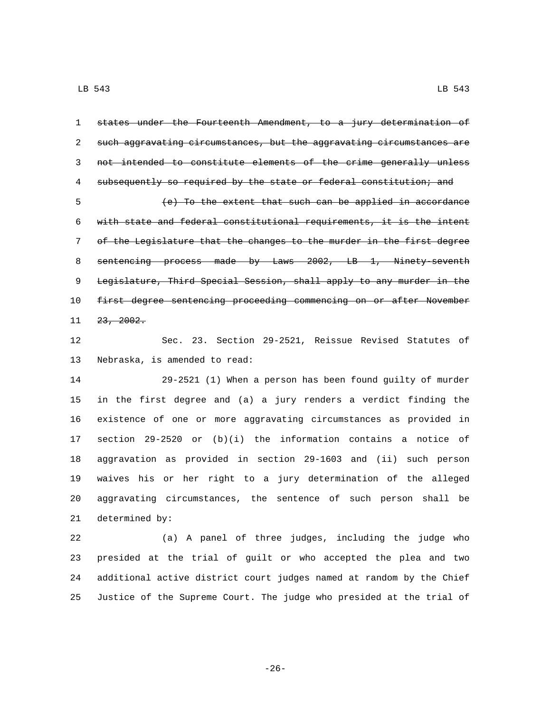states under the Fourteenth Amendment, to a jury determination of such aggravating circumstances, but the aggravating circumstances are not intended to constitute elements of the crime generally unless 4 subsequently so required by the state or federal constitution; and

 (e) To the extent that such can be applied in accordance with state and federal constitutional requirements, it is the intent of the Legislature that the changes to the murder in the first degree 8 sentencing process made by Laws 2002, LB 1, Ninety-seventh Legislature, Third Special Session, shall apply to any murder in the 10 first degree sentencing proceeding commencing on or after November  $23, 2002.$ 

 Sec. 23. Section 29-2521, Reissue Revised Statutes of 13 Nebraska, is amended to read:

 29-2521 (1) When a person has been found guilty of murder in the first degree and (a) a jury renders a verdict finding the existence of one or more aggravating circumstances as provided in section 29-2520 or (b)(i) the information contains a notice of aggravation as provided in section 29-1603 and (ii) such person waives his or her right to a jury determination of the alleged aggravating circumstances, the sentence of such person shall be 21 determined by:

 (a) A panel of three judges, including the judge who presided at the trial of guilt or who accepted the plea and two additional active district court judges named at random by the Chief Justice of the Supreme Court. The judge who presided at the trial of

-26-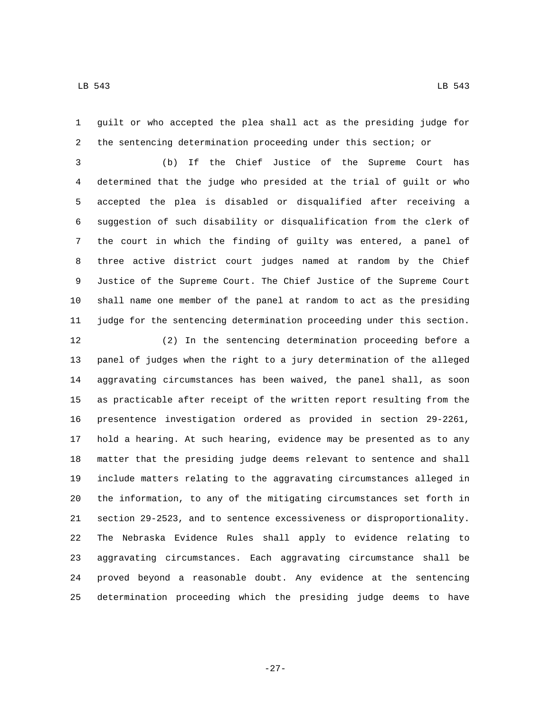guilt or who accepted the plea shall act as the presiding judge for the sentencing determination proceeding under this section; or

 (b) If the Chief Justice of the Supreme Court has determined that the judge who presided at the trial of guilt or who accepted the plea is disabled or disqualified after receiving a suggestion of such disability or disqualification from the clerk of the court in which the finding of guilty was entered, a panel of three active district court judges named at random by the Chief Justice of the Supreme Court. The Chief Justice of the Supreme Court shall name one member of the panel at random to act as the presiding judge for the sentencing determination proceeding under this section.

 (2) In the sentencing determination proceeding before a panel of judges when the right to a jury determination of the alleged aggravating circumstances has been waived, the panel shall, as soon as practicable after receipt of the written report resulting from the presentence investigation ordered as provided in section 29-2261, hold a hearing. At such hearing, evidence may be presented as to any matter that the presiding judge deems relevant to sentence and shall include matters relating to the aggravating circumstances alleged in the information, to any of the mitigating circumstances set forth in section 29-2523, and to sentence excessiveness or disproportionality. The Nebraska Evidence Rules shall apply to evidence relating to aggravating circumstances. Each aggravating circumstance shall be proved beyond a reasonable doubt. Any evidence at the sentencing determination proceeding which the presiding judge deems to have

-27-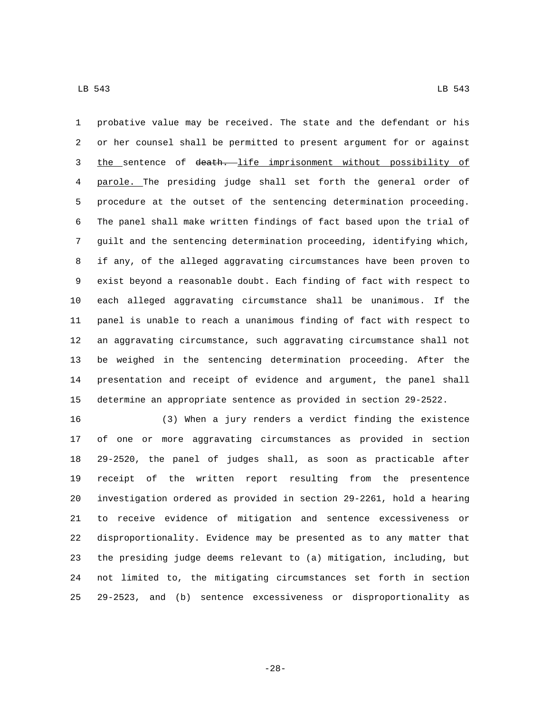probative value may be received. The state and the defendant or his or her counsel shall be permitted to present argument for or against 3 the sentence of death. life imprisonment without possibility of parole. The presiding judge shall set forth the general order of procedure at the outset of the sentencing determination proceeding. The panel shall make written findings of fact based upon the trial of guilt and the sentencing determination proceeding, identifying which, if any, of the alleged aggravating circumstances have been proven to exist beyond a reasonable doubt. Each finding of fact with respect to each alleged aggravating circumstance shall be unanimous. If the panel is unable to reach a unanimous finding of fact with respect to an aggravating circumstance, such aggravating circumstance shall not be weighed in the sentencing determination proceeding. After the presentation and receipt of evidence and argument, the panel shall determine an appropriate sentence as provided in section 29-2522.

 (3) When a jury renders a verdict finding the existence of one or more aggravating circumstances as provided in section 29-2520, the panel of judges shall, as soon as practicable after receipt of the written report resulting from the presentence investigation ordered as provided in section 29-2261, hold a hearing to receive evidence of mitigation and sentence excessiveness or disproportionality. Evidence may be presented as to any matter that the presiding judge deems relevant to (a) mitigation, including, but not limited to, the mitigating circumstances set forth in section 29-2523, and (b) sentence excessiveness or disproportionality as

-28-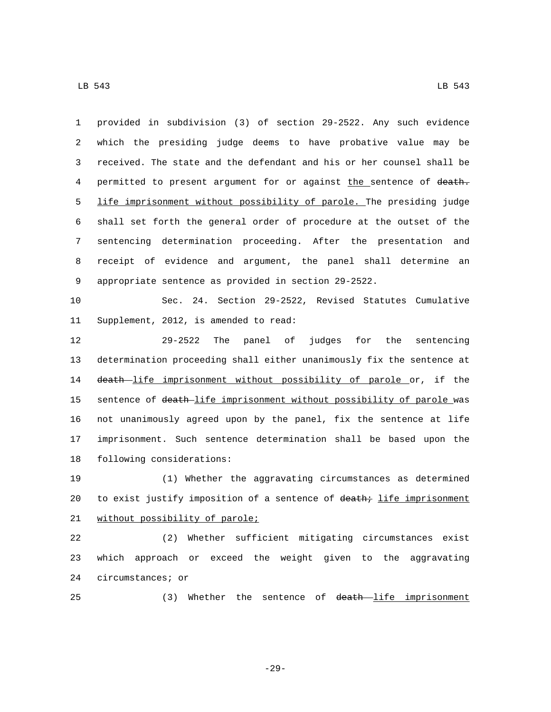provided in subdivision (3) of section 29-2522. Any such evidence which the presiding judge deems to have probative value may be received. The state and the defendant and his or her counsel shall be 4 permitted to present argument for or against the sentence of death. life imprisonment without possibility of parole. The presiding judge shall set forth the general order of procedure at the outset of the sentencing determination proceeding. After the presentation and receipt of evidence and argument, the panel shall determine an appropriate sentence as provided in section 29-2522.

10 Sec. 24. Section 29-2522, Revised Statutes Cumulative 11 Supplement, 2012, is amended to read:

12 29-2522 The panel of judges for the sentencing 13 determination proceeding shall either unanimously fix the sentence at 14 death life imprisonment without possibility of parole or, if the 15 sentence of death-life imprisonment without possibility of parole was 16 not unanimously agreed upon by the panel, fix the sentence at life 17 imprisonment. Such sentence determination shall be based upon the 18 following considerations:

19 (1) Whether the aggravating circumstances as determined 20 to exist justify imposition of a sentence of death; life imprisonment 21 without possibility of parole;

22 (2) Whether sufficient mitigating circumstances exist 23 which approach or exceed the weight given to the aggravating 24 circumstances; or

25 (3) Whether the sentence of death life imprisonment

-29-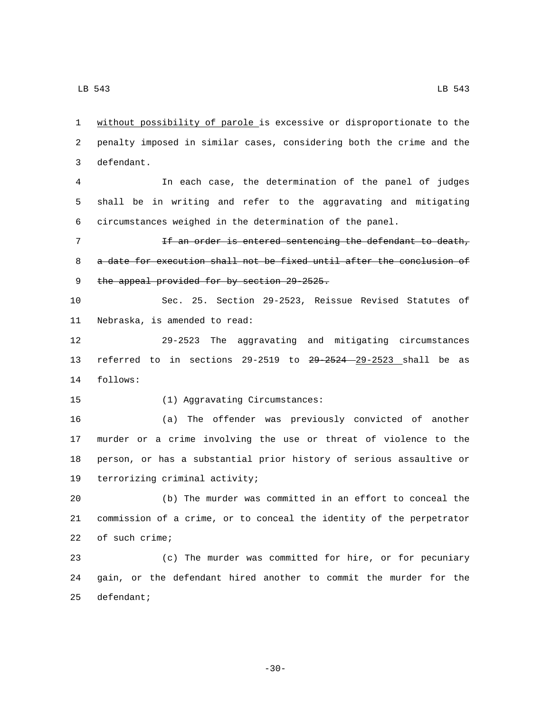1 without possibility of parole is excessive or disproportionate to the 2 penalty imposed in similar cases, considering both the crime and the 3 defendant.

4 In each case, the determination of the panel of judges 5 shall be in writing and refer to the aggravating and mitigating 6 circumstances weighed in the determination of the panel.

7 The Senter is entered sentencing the defendant to death, 8 a date for execution shall not be fixed until after the conclusion of 9 the appeal provided for by section 29-2525.

10 Sec. 25. Section 29-2523, Reissue Revised Statutes of 11 Nebraska, is amended to read:

12 29-2523 The aggravating and mitigating circumstances 13 referred to in sections 29-2519 to 29-2524 29-2523 shall be as 14 follows:

15 (1) Aggravating Circumstances:

 (a) The offender was previously convicted of another murder or a crime involving the use or threat of violence to the person, or has a substantial prior history of serious assaultive or 19 terrorizing criminal activity;

20 (b) The murder was committed in an effort to conceal the 21 commission of a crime, or to conceal the identity of the perpetrator 22 of such crime;

23 (c) The murder was committed for hire, or for pecuniary 24 gain, or the defendant hired another to commit the murder for the 25 defendant;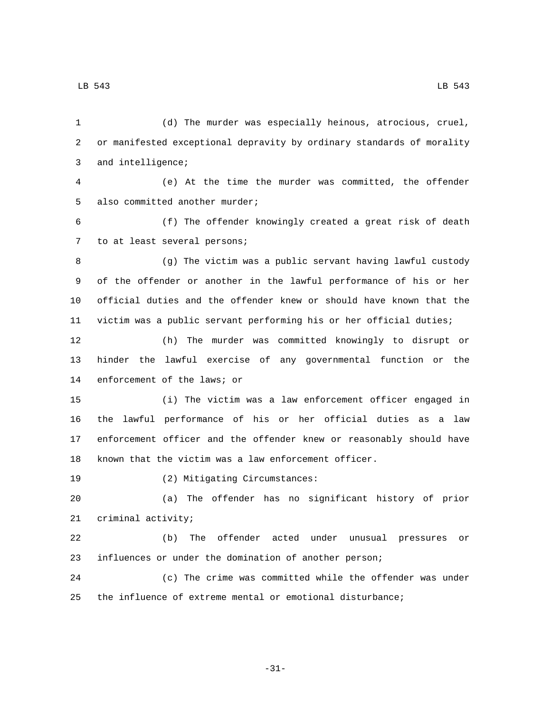(d) The murder was especially heinous, atrocious, cruel, or manifested exceptional depravity by ordinary standards of morality 3 and intelligence; (e) At the time the murder was committed, the offender 5 also committed another murder; (f) The offender knowingly created a great risk of death 7 to at least several persons; (g) The victim was a public servant having lawful custody of the offender or another in the lawful performance of his or her official duties and the offender knew or should have known that the victim was a public servant performing his or her official duties; (h) The murder was committed knowingly to disrupt or hinder the lawful exercise of any governmental function or the 14 enforcement of the laws; or (i) The victim was a law enforcement officer engaged in the lawful performance of his or her official duties as a law enforcement officer and the offender knew or reasonably should have known that the victim was a law enforcement officer. 19 (2) Mitigating Circumstances: (a) The offender has no significant history of prior 21 criminal activity; (b) The offender acted under unusual pressures or influences or under the domination of another person; (c) The crime was committed while the offender was under the influence of extreme mental or emotional disturbance;

-31-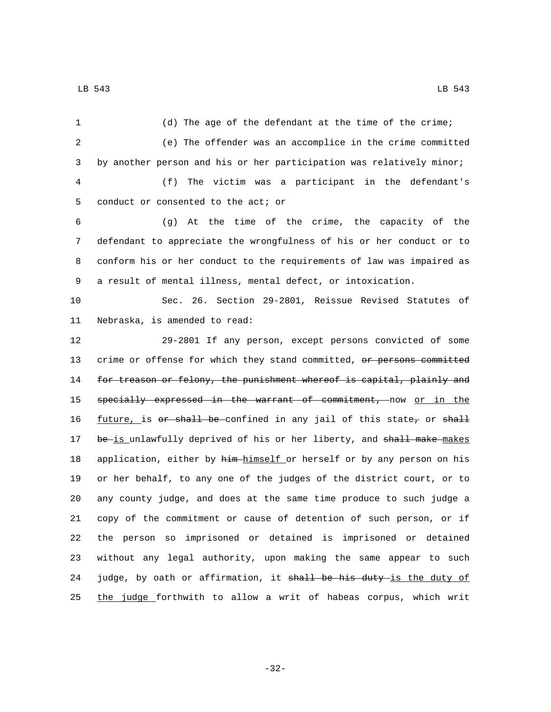| 1  | (d) The age of the defendant at the time of the crime;                 |
|----|------------------------------------------------------------------------|
| 2  | (e) The offender was an accomplice in the crime committed              |
| 3  | by another person and his or her participation was relatively minor;   |
| 4  | The victim was a participant in the defendant's<br>(f)                 |
| 5  | conduct or consented to the act; or                                    |
| 6  | (g) At the time of the crime, the capacity of the                      |
| 7  | defendant to appreciate the wrongfulness of his or her conduct or to   |
| 8  | conform his or her conduct to the requirements of law was impaired as  |
| 9  | a result of mental illness, mental defect, or intoxication.            |
| 10 | Sec. 26. Section 29-2801, Reissue Revised Statutes of                  |
| 11 | Nebraska, is amended to read:                                          |
| 12 | 29-2801 If any person, except persons convicted of some                |
| 13 | crime or offense for which they stand committed, or persons committed  |
| 14 | for treason or felony, the punishment whereof is capital, plainly and  |
| 15 | specially expressed in the warrant of commitment, now or in the        |
| 16 | $future$ , is or shall be confined in any jail of this state, or shall |
| 17 | be-is unlawfully deprived of his or her liberty, and shall make-makes  |
| 18 | application, either by him-himself or herself or by any person on his  |
| 19 | or her behalf, to any one of the judges of the district court, or to   |
| 20 | any county judge, and does at the same time produce to such judge a    |
| 21 | copy of the commitment or cause of detention of such person, or if     |
| 22 | the person so imprisoned or detained is imprisoned or detained         |
| 23 | without any legal authority, upon making the same appear to such       |
| 24 | judge, by oath or affirmation, it shall be his duty is the duty of     |
| 25 | the judge forthwith to allow a writ of habeas corpus, which writ       |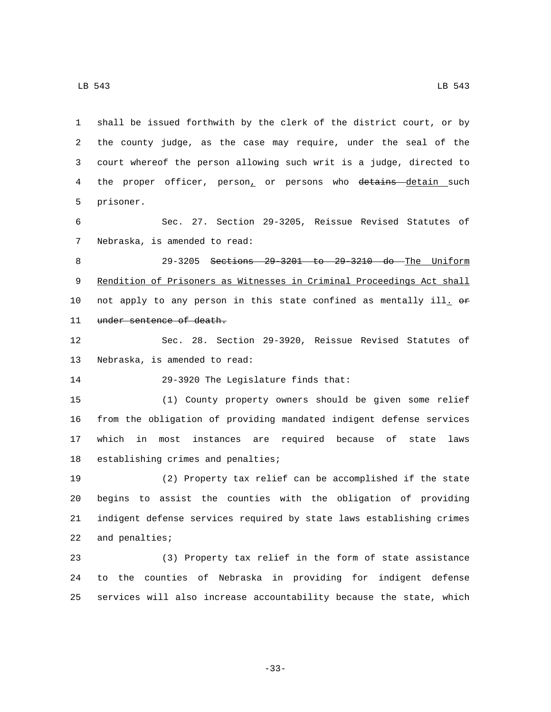1 shall be issued forthwith by the clerk of the district court, or by 2 the county judge, as the case may require, under the seal of the 3 court whereof the person allowing such writ is a judge, directed to 4 the proper officer, person, or persons who detains detain such 5 prisoner.

6 Sec. 27. Section 29-3205, Reissue Revised Statutes of 7 Nebraska, is amended to read:

8 29-3205 Sections 29-3201 to 29-3210 do The Uniform 9 Rendition of Prisoners as Witnesses in Criminal Proceedings Act shall 10 not apply to any person in this state confined as mentally ill.  $\Theta$ r 11 under sentence of death.

12 Sec. 28. Section 29-3920, Reissue Revised Statutes of 13 Nebraska, is amended to read:

14 29-3920 The Legislature finds that:

 (1) County property owners should be given some relief from the obligation of providing mandated indigent defense services which in most instances are required because of state laws 18 establishing crimes and penalties;

 (2) Property tax relief can be accomplished if the state begins to assist the counties with the obligation of providing indigent defense services required by state laws establishing crimes 22 and penalties;

23 (3) Property tax relief in the form of state assistance 24 to the counties of Nebraska in providing for indigent defense 25 services will also increase accountability because the state, which

-33-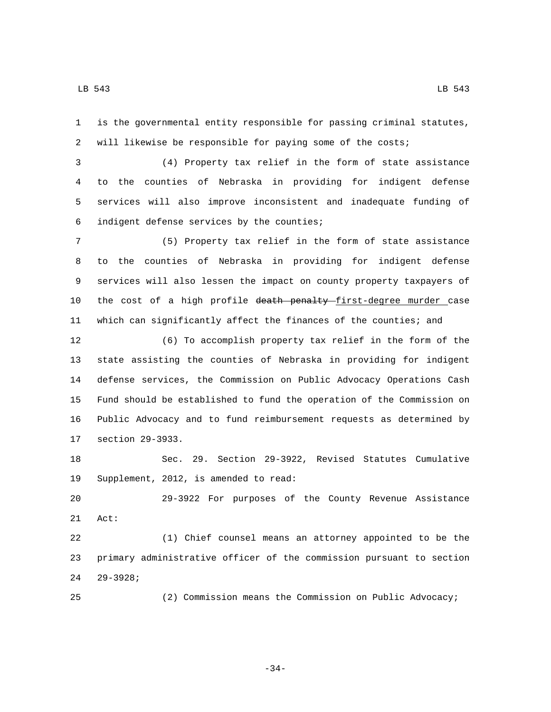is the governmental entity responsible for passing criminal statutes, will likewise be responsible for paying some of the costs;

 (4) Property tax relief in the form of state assistance to the counties of Nebraska in providing for indigent defense services will also improve inconsistent and inadequate funding of 6 indigent defense services by the counties;

 (5) Property tax relief in the form of state assistance to the counties of Nebraska in providing for indigent defense services will also lessen the impact on county property taxpayers of 10 the cost of a high profile death penalty-first-degree murder case which can significantly affect the finances of the counties; and

 (6) To accomplish property tax relief in the form of the state assisting the counties of Nebraska in providing for indigent defense services, the Commission on Public Advocacy Operations Cash Fund should be established to fund the operation of the Commission on Public Advocacy and to fund reimbursement requests as determined by 17 section 29-3933.

 Sec. 29. Section 29-3922, Revised Statutes Cumulative 19 Supplement, 2012, is amended to read:

 29-3922 For purposes of the County Revenue Assistance 21 Act:

 (1) Chief counsel means an attorney appointed to be the primary administrative officer of the commission pursuant to section 29-3928;24

(2) Commission means the Commission on Public Advocacy;

-34-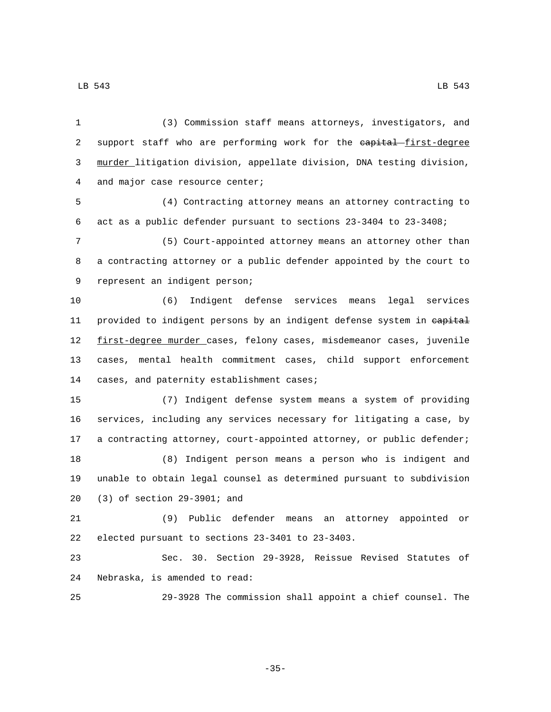1 (3) Commission staff means attorneys, investigators, and 2 support staff who are performing work for the eapital first-degree 3 murder litigation division, appellate division, DNA testing division, 4 and major case resource center;

5 (4) Contracting attorney means an attorney contracting to 6 act as a public defender pursuant to sections 23-3404 to 23-3408;

7 (5) Court-appointed attorney means an attorney other than 8 a contracting attorney or a public defender appointed by the court to 9 represent an indigent person;

10 (6) Indigent defense services means legal services 11 provided to indigent persons by an indigent defense system in eapital 12 first-degree murder cases, felony cases, misdemeanor cases, juvenile 13 cases, mental health commitment cases, child support enforcement 14 cases, and paternity establishment cases;

 (7) Indigent defense system means a system of providing services, including any services necessary for litigating a case, by 17 a contracting attorney, court-appointed attorney, or public defender; (8) Indigent person means a person who is indigent and unable to obtain legal counsel as determined pursuant to subdivision (3) of section 29-3901; and20

21 (9) Public defender means an attorney appointed or 22 elected pursuant to sections 23-3401 to 23-3403.

23 Sec. 30. Section 29-3928, Reissue Revised Statutes of 24 Nebraska, is amended to read:

25 29-3928 The commission shall appoint a chief counsel. The

-35-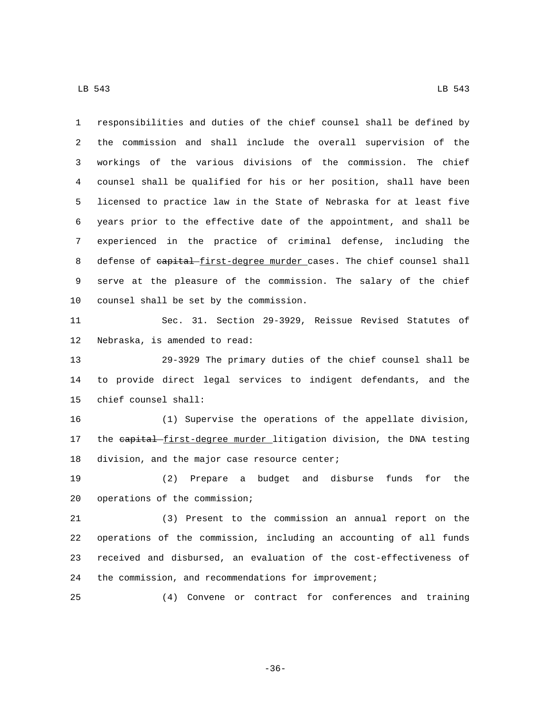responsibilities and duties of the chief counsel shall be defined by the commission and shall include the overall supervision of the workings of the various divisions of the commission. The chief counsel shall be qualified for his or her position, shall have been licensed to practice law in the State of Nebraska for at least five years prior to the effective date of the appointment, and shall be experienced in the practice of criminal defense, including the 8 defense of eapital first-degree murder cases. The chief counsel shall serve at the pleasure of the commission. The salary of the chief 10 counsel shall be set by the commission.

 Sec. 31. Section 29-3929, Reissue Revised Statutes of 12 Nebraska, is amended to read:

 29-3929 The primary duties of the chief counsel shall be to provide direct legal services to indigent defendants, and the 15 chief counsel shall:

 (1) Supervise the operations of the appellate division, 17 the capital first-degree murder litigation division, the DNA testing 18 division, and the major case resource center;

 (2) Prepare a budget and disburse funds for the 20 operations of the commission;

 (3) Present to the commission an annual report on the operations of the commission, including an accounting of all funds received and disbursed, an evaluation of the cost-effectiveness of 24 the commission, and recommendations for improvement;

(4) Convene or contract for conferences and training

-36-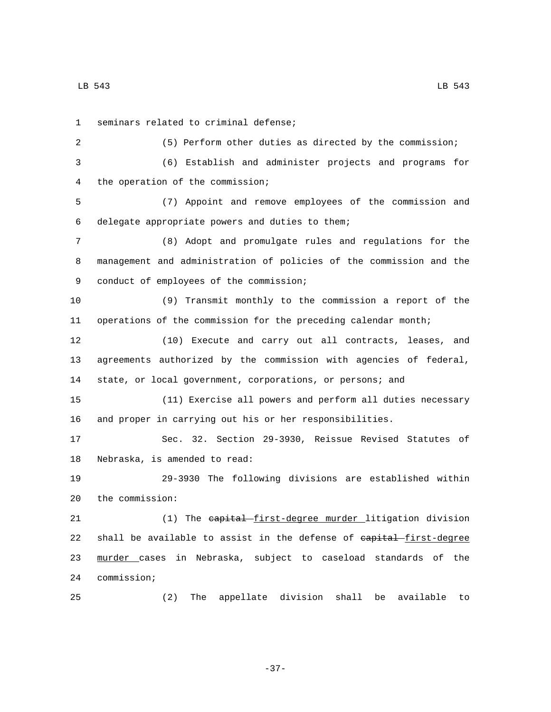1 seminars related to criminal defense; (5) Perform other duties as directed by the commission; (6) Establish and administer projects and programs for the operation of the commission;4 (7) Appoint and remove employees of the commission and delegate appropriate powers and duties to them;6 (8) Adopt and promulgate rules and regulations for the management and administration of policies of the commission and the 9 conduct of employees of the commission; (9) Transmit monthly to the commission a report of the operations of the commission for the preceding calendar month; (10) Execute and carry out all contracts, leases, and agreements authorized by the commission with agencies of federal, state, or local government, corporations, or persons; and (11) Exercise all powers and perform all duties necessary and proper in carrying out his or her responsibilities. Sec. 32. Section 29-3930, Reissue Revised Statutes of 18 Nebraska, is amended to read: 29-3930 The following divisions are established within 20 the commission: 21 (1) The eapital first-degree murder litigation division 22 shall be available to assist in the defense of eapital first-degree murder cases in Nebraska, subject to caseload standards of the 24 commission; (2) The appellate division shall be available to

-37-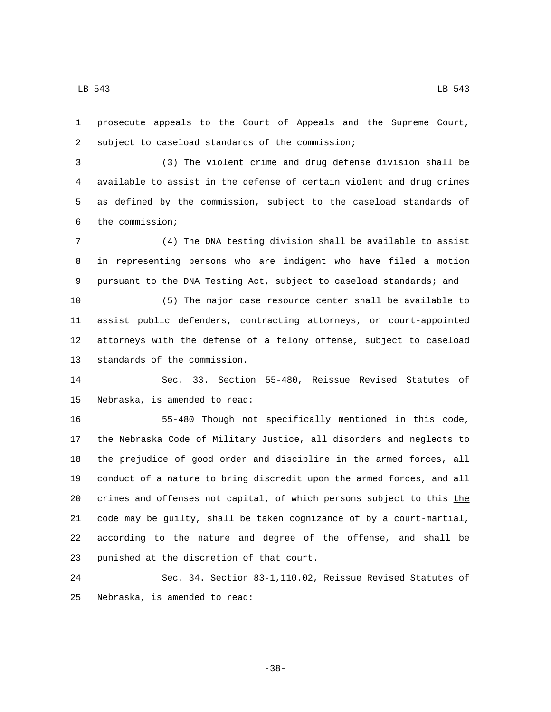1 prosecute appeals to the Court of Appeals and the Supreme Court, 2 subject to caseload standards of the commission;

 (3) The violent crime and drug defense division shall be available to assist in the defense of certain violent and drug crimes as defined by the commission, subject to the caseload standards of the commission;6

7 (4) The DNA testing division shall be available to assist 8 in representing persons who are indigent who have filed a motion 9 pursuant to the DNA Testing Act, subject to caseload standards; and

 (5) The major case resource center shall be available to assist public defenders, contracting attorneys, or court-appointed attorneys with the defense of a felony offense, subject to caseload 13 standards of the commission.

14 Sec. 33. Section 55-480, Reissue Revised Statutes of 15 Nebraska, is amended to read:

16 55-480 Though not specifically mentioned in this code, 17 the Nebraska Code of Military Justice, all disorders and neglects to 18 the prejudice of good order and discipline in the armed forces, all 19 conduct of a nature to bring discredit upon the armed forces<sub>1</sub> and  $all$ 20 crimes and offenses not capital, of which persons subject to this-the 21 code may be guilty, shall be taken cognizance of by a court-martial, 22 according to the nature and degree of the offense, and shall be 23 punished at the discretion of that court.

24 Sec. 34. Section 83-1,110.02, Reissue Revised Statutes of 25 Nebraska, is amended to read:

-38-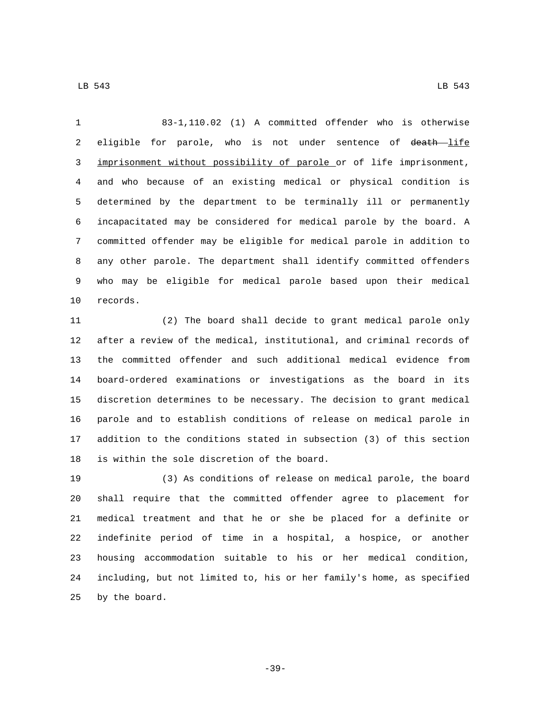83-1,110.02 (1) A committed offender who is otherwise 2 eligible for parole, who is not under sentence of death life imprisonment without possibility of parole or of life imprisonment, and who because of an existing medical or physical condition is determined by the department to be terminally ill or permanently incapacitated may be considered for medical parole by the board. A committed offender may be eligible for medical parole in addition to any other parole. The department shall identify committed offenders who may be eligible for medical parole based upon their medical 10 records.

 (2) The board shall decide to grant medical parole only after a review of the medical, institutional, and criminal records of the committed offender and such additional medical evidence from board-ordered examinations or investigations as the board in its discretion determines to be necessary. The decision to grant medical parole and to establish conditions of release on medical parole in addition to the conditions stated in subsection (3) of this section 18 is within the sole discretion of the board.

 (3) As conditions of release on medical parole, the board shall require that the committed offender agree to placement for medical treatment and that he or she be placed for a definite or indefinite period of time in a hospital, a hospice, or another housing accommodation suitable to his or her medical condition, including, but not limited to, his or her family's home, as specified 25 by the board.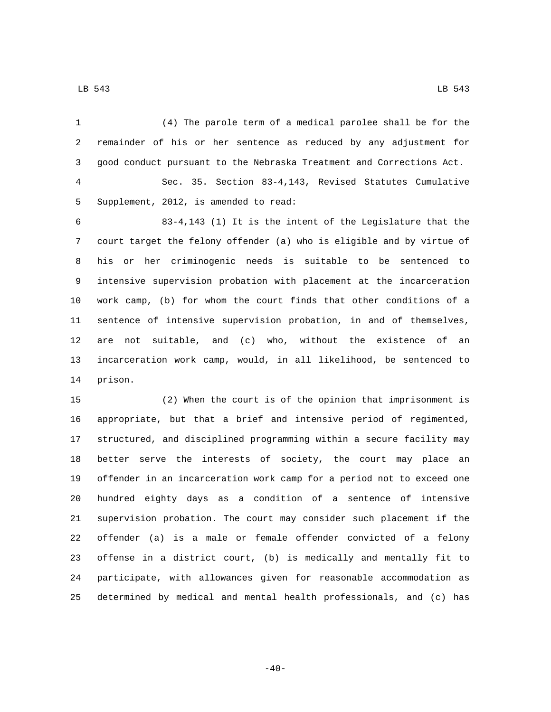(4) The parole term of a medical parolee shall be for the remainder of his or her sentence as reduced by any adjustment for good conduct pursuant to the Nebraska Treatment and Corrections Act. Sec. 35. Section 83-4,143, Revised Statutes Cumulative 5 Supplement, 2012, is amended to read: 83-4,143 (1) It is the intent of the Legislature that the court target the felony offender (a) who is eligible and by virtue of his or her criminogenic needs is suitable to be sentenced to intensive supervision probation with placement at the incarceration work camp, (b) for whom the court finds that other conditions of a sentence of intensive supervision probation, in and of themselves, are not suitable, and (c) who, without the existence of an incarceration work camp, would, in all likelihood, be sentenced to 14 prison. (2) When the court is of the opinion that imprisonment is appropriate, but that a brief and intensive period of regimented,

 structured, and disciplined programming within a secure facility may better serve the interests of society, the court may place an offender in an incarceration work camp for a period not to exceed one hundred eighty days as a condition of a sentence of intensive supervision probation. The court may consider such placement if the offender (a) is a male or female offender convicted of a felony offense in a district court, (b) is medically and mentally fit to participate, with allowances given for reasonable accommodation as determined by medical and mental health professionals, and (c) has

 $-40-$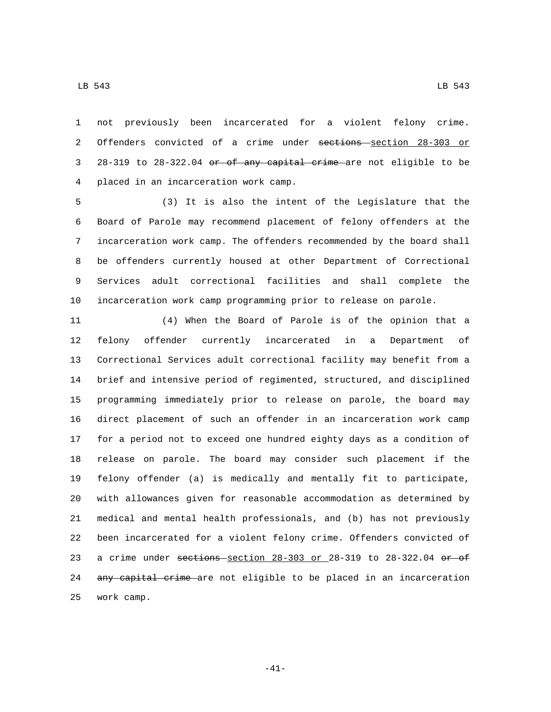not previously been incarcerated for a violent felony crime. 2 Offenders convicted of a crime under sections section 28-303 or 28-319 to 28-322.04 or of any capital crime are not eligible to be placed in an incarceration work camp.4

 (3) It is also the intent of the Legislature that the Board of Parole may recommend placement of felony offenders at the incarceration work camp. The offenders recommended by the board shall be offenders currently housed at other Department of Correctional Services adult correctional facilities and shall complete the incarceration work camp programming prior to release on parole.

 (4) When the Board of Parole is of the opinion that a felony offender currently incarcerated in a Department of Correctional Services adult correctional facility may benefit from a brief and intensive period of regimented, structured, and disciplined programming immediately prior to release on parole, the board may direct placement of such an offender in an incarceration work camp for a period not to exceed one hundred eighty days as a condition of release on parole. The board may consider such placement if the felony offender (a) is medically and mentally fit to participate, with allowances given for reasonable accommodation as determined by medical and mental health professionals, and (b) has not previously been incarcerated for a violent felony crime. Offenders convicted of 23 a crime under sections section  $28-303$  or  $28-319$  to  $28-322.04$  or of 24 any capital crime are not eligible to be placed in an incarceration 25 work camp.

 $\,$  LB 543  $\,$  LB 543  $\,$